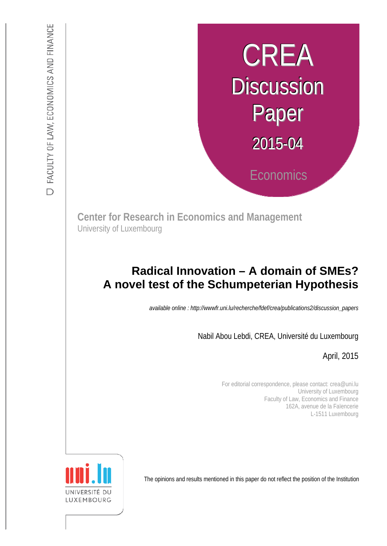# CREA **Discussion** Paper 2015-04 **Economics**

**Center for Research in Economics and Management** University of Luxembourg

# **A novel test of the Schumpeterian Hypothesis Radical Innovation – A domain of SMEs?**

*available online : http://wwwfr.uni.lu/recherche/fdef/crea/publications2/discussion\_papers* 

Nabil Abou Lebdi, CREA, Université du Luxembourg

April, 2015

For editorial correspondence, please contact: crea@uni.lu University of Luxembourg Faculty of Law, Economics and Finance 162A, avenue de la Faïencerie L-1511 Luxembourg

The opinions and results mentioned in this paper do not reflect the position of the Institution

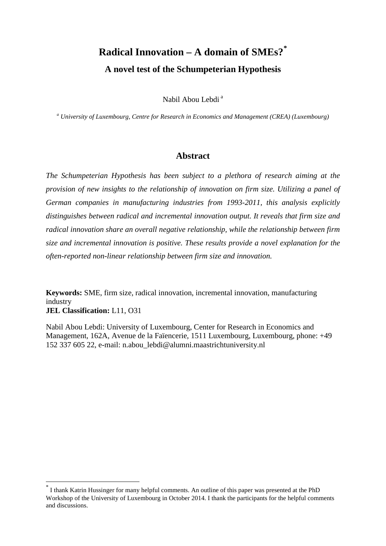# **Radical Innovation – A domain of SMEs?[\\*](#page-1-0) A novel test of the Schumpeterian Hypothesis**

Nabil Abou Lebdi<sup>a</sup>

*<sup>a</sup> University of Luxembourg, Centre for Research in Economics and Management (CREA) (Luxembourg)*

# **Abstract**

*The Schumpeterian Hypothesis has been subject to a plethora of research aiming at the provision of new insights to the relationship of innovation on firm size. Utilizing a panel of German companies in manufacturing industries from 1993-2011, this analysis explicitly distinguishes between radical and incremental innovation output. It reveals that firm size and radical innovation share an overall negative relationship, while the relationship between firm size and incremental innovation is positive. These results provide a novel explanation for the often-reported non-linear relationship between firm size and innovation.*

**Keywords:** SME, firm size, radical innovation, incremental innovation, manufacturing industry **JEL Classification:** L11, O31

Nabil Abou Lebdi: University of Luxembourg, Center for Research in Economics and Management, 162A, Avenue de la Faïencerie, 1511 Luxembourg, Luxembourg, phone: +49 152 337 605 22, e-mail: n.abou\_lebdi@alumni.maastrichtuniversity.nl

<span id="page-1-0"></span>I thank Katrin Hussinger for many helpful comments. An outline of this paper was presented at the PhD Workshop of the University of Luxembourg in October 2014. I thank the participants for the helpful comments and discussions.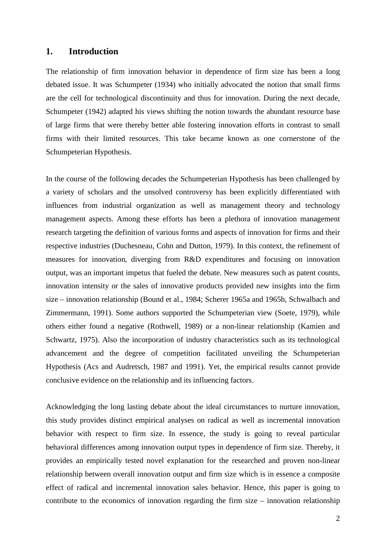## **1. Introduction**

The relationship of firm innovation behavior in dependence of firm size has been a long debated issue. It was Schumpeter (1934) who initially advocated the notion that small firms are the cell for technological discontinuity and thus for innovation. During the next decade, Schumpeter (1942) adapted his views shifting the notion towards the abundant resource base of large firms that were thereby better able fostering innovation efforts in contrast to small firms with their limited resources. This take became known as one cornerstone of the Schumpeterian Hypothesis.

In the course of the following decades the Schumpeterian Hypothesis has been challenged by a variety of scholars and the unsolved controversy has been explicitly differentiated with influences from industrial organization as well as management theory and technology management aspects. Among these efforts has been a plethora of innovation management research targeting the definition of various forms and aspects of innovation for firms and their respective industries (Duchesneau, Cohn and Dutton, 1979). In this context, the refinement of measures for innovation, diverging from R&D expenditures and focusing on innovation output, was an important impetus that fueled the debate. New measures such as patent counts, innovation intensity or the sales of innovative products provided new insights into the firm size – innovation relationship (Bound et al., 1984; Scherer 1965a and 1965b, Schwalbach and Zimmermann, 1991). Some authors supported the Schumpeterian view (Soete, 1979), while others either found a negative (Rothwell, 1989) or a non-linear relationship (Kamien and Schwartz, 1975). Also the incorporation of industry characteristics such as its technological advancement and the degree of competition facilitated unveiling the Schumpeterian Hypothesis (Acs and Audretsch, 1987 and 1991). Yet, the empirical results cannot provide conclusive evidence on the relationship and its influencing factors.

Acknowledging the long lasting debate about the ideal circumstances to nurture innovation, this study provides distinct empirical analyses on radical as well as incremental innovation behavior with respect to firm size. In essence, the study is going to reveal particular behavioral differences among innovation output types in dependence of firm size. Thereby, it provides an empirically tested novel explanation for the researched and proven non-linear relationship between overall innovation output and firm size which is in essence a composite effect of radical and incremental innovation sales behavior. Hence, this paper is going to contribute to the economics of innovation regarding the firm size – innovation relationship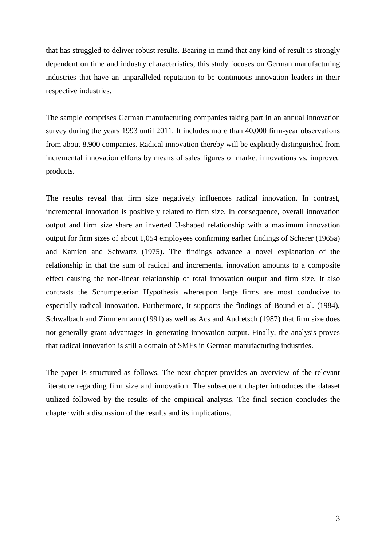that has struggled to deliver robust results. Bearing in mind that any kind of result is strongly dependent on time and industry characteristics, this study focuses on German manufacturing industries that have an unparalleled reputation to be continuous innovation leaders in their respective industries.

The sample comprises German manufacturing companies taking part in an annual innovation survey during the years 1993 until 2011. It includes more than 40,000 firm-year observations from about 8,900 companies. Radical innovation thereby will be explicitly distinguished from incremental innovation efforts by means of sales figures of market innovations vs. improved products.

The results reveal that firm size negatively influences radical innovation. In contrast, incremental innovation is positively related to firm size. In consequence, overall innovation output and firm size share an inverted U-shaped relationship with a maximum innovation output for firm sizes of about 1,054 employees confirming earlier findings of Scherer (1965a) and Kamien and Schwartz (1975). The findings advance a novel explanation of the relationship in that the sum of radical and incremental innovation amounts to a composite effect causing the non-linear relationship of total innovation output and firm size. It also contrasts the Schumpeterian Hypothesis whereupon large firms are most conducive to especially radical innovation. Furthermore, it supports the findings of Bound et al. (1984), Schwalbach and Zimmermann (1991) as well as Acs and Audretsch (1987) that firm size does not generally grant advantages in generating innovation output. Finally, the analysis proves that radical innovation is still a domain of SMEs in German manufacturing industries.

The paper is structured as follows. The next chapter provides an overview of the relevant literature regarding firm size and innovation. The subsequent chapter introduces the dataset utilized followed by the results of the empirical analysis. The final section concludes the chapter with a discussion of the results and its implications.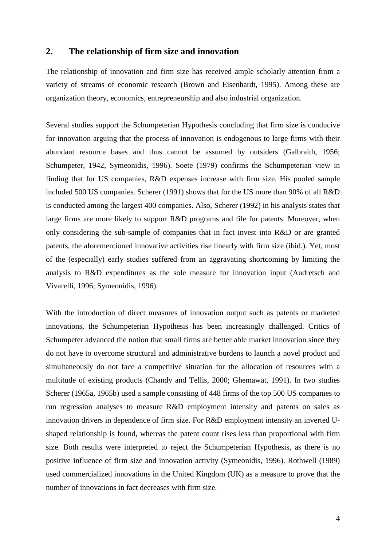# **2. The relationship of firm size and innovation**

The relationship of innovation and firm size has received ample scholarly attention from a variety of streams of economic research (Brown and Eisenhardt, 1995). Among these are organization theory, economics, entrepreneurship and also industrial organization.

Several studies support the Schumpeterian Hypothesis concluding that firm size is conducive for innovation arguing that the process of innovation is endogenous to large firms with their abundant resource bases and thus cannot be assumed by outsiders (Galbraith, 1956; Schumpeter, 1942, Symeonidis, 1996). Soete (1979) confirms the Schumpeterian view in finding that for US companies, R&D expenses increase with firm size. His pooled sample included 500 US companies. Scherer (1991) shows that for the US more than 90% of all R&D is conducted among the largest 400 companies. Also, Scherer (1992) in his analysis states that large firms are more likely to support R&D programs and file for patents. Moreover, when only considering the sub-sample of companies that in fact invest into R&D or are granted patents, the aforementioned innovative activities rise linearly with firm size (ibid.). Yet, most of the (especially) early studies suffered from an aggravating shortcoming by limiting the analysis to R&D expenditures as the sole measure for innovation input (Audretsch and Vivarelli, 1996; Symeonidis, 1996).

With the introduction of direct measures of innovation output such as patents or marketed innovations, the Schumpeterian Hypothesis has been increasingly challenged. Critics of Schumpeter advanced the notion that small firms are better able market innovation since they do not have to overcome structural and administrative burdens to launch a novel product and simultaneously do not face a competitive situation for the allocation of resources with a multitude of existing products (Chandy and Tellis, 2000; Ghemawat, 1991). In two studies Scherer (1965a, 1965b) used a sample consisting of 448 firms of the top 500 US companies to run regression analyses to measure R&D employment intensity and patents on sales as innovation drivers in dependence of firm size. For R&D employment intensity an inverted Ushaped relationship is found, whereas the patent count rises less than proportional with firm size. Both results were interpreted to reject the Schumpeterian Hypothesis, as there is no positive influence of firm size and innovation activity (Symeonidis, 1996). Rothwell (1989) used commercialized innovations in the United Kingdom (UK) as a measure to prove that the number of innovations in fact decreases with firm size.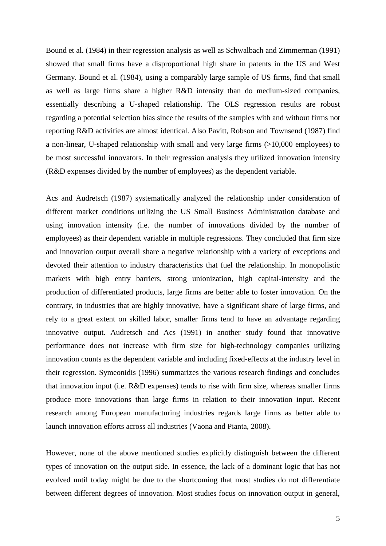Bound et al. (1984) in their regression analysis as well as Schwalbach and Zimmerman (1991) showed that small firms have a disproportional high share in patents in the US and West Germany. Bound et al. (1984), using a comparably large sample of US firms, find that small as well as large firms share a higher R&D intensity than do medium-sized companies, essentially describing a U-shaped relationship. The OLS regression results are robust regarding a potential selection bias since the results of the samples with and without firms not reporting R&D activities are almost identical. Also Pavitt, Robson and Townsend (1987) find a non-linear, U-shaped relationship with small and very large firms (>10,000 employees) to be most successful innovators. In their regression analysis they utilized innovation intensity (R&D expenses divided by the number of employees) as the dependent variable.

Acs and Audretsch (1987) systematically analyzed the relationship under consideration of different market conditions utilizing the US Small Business Administration database and using innovation intensity (i.e. the number of innovations divided by the number of employees) as their dependent variable in multiple regressions. They concluded that firm size and innovation output overall share a negative relationship with a variety of exceptions and devoted their attention to industry characteristics that fuel the relationship. In monopolistic markets with high entry barriers, strong unionization, high capital-intensity and the production of differentiated products, large firms are better able to foster innovation. On the contrary, in industries that are highly innovative, have a significant share of large firms, and rely to a great extent on skilled labor, smaller firms tend to have an advantage regarding innovative output. Audretsch and Acs (1991) in another study found that innovative performance does not increase with firm size for high-technology companies utilizing innovation counts as the dependent variable and including fixed-effects at the industry level in their regression. Symeonidis (1996) summarizes the various research findings and concludes that innovation input (i.e. R&D expenses) tends to rise with firm size, whereas smaller firms produce more innovations than large firms in relation to their innovation input. Recent research among European manufacturing industries regards large firms as better able to launch innovation efforts across all industries (Vaona and Pianta, 2008).

However, none of the above mentioned studies explicitly distinguish between the different types of innovation on the output side. In essence, the lack of a dominant logic that has not evolved until today might be due to the shortcoming that most studies do not differentiate between different degrees of innovation. Most studies focus on innovation output in general,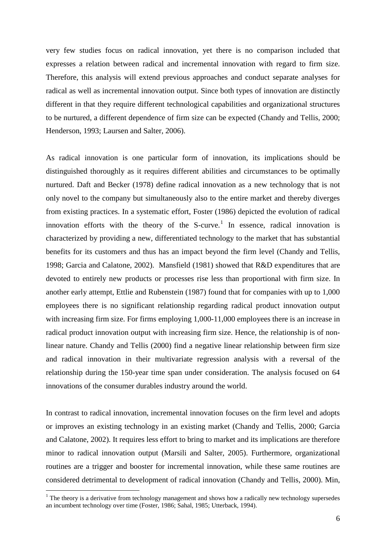very few studies focus on radical innovation, yet there is no comparison included that expresses a relation between radical and incremental innovation with regard to firm size. Therefore, this analysis will extend previous approaches and conduct separate analyses for radical as well as incremental innovation output. Since both types of innovation are distinctly different in that they require different technological capabilities and organizational structures to be nurtured, a different dependence of firm size can be expected (Chandy and Tellis, 2000; Henderson, 1993; Laursen and Salter, 2006).

As radical innovation is one particular form of innovation, its implications should be distinguished thoroughly as it requires different abilities and circumstances to be optimally nurtured. Daft and Becker (1978) define radical innovation as a new technology that is not only novel to the company but simultaneously also to the entire market and thereby diverges from existing practices. In a systematic effort, Foster (1986) depicted the evolution of radical innovation efforts with the theory of the S-curve.<sup>[1](#page-6-0)</sup> In essence, radical innovation is characterized by providing a new, differentiated technology to the market that has substantial benefits for its customers and thus has an impact beyond the firm level (Chandy and Tellis, 1998; Garcia and Calatone, 2002). Mansfield (1981) showed that R&D expenditures that are devoted to entirely new products or processes rise less than proportional with firm size. In another early attempt, Ettlie and Rubenstein (1987) found that for companies with up to 1,000 employees there is no significant relationship regarding radical product innovation output with increasing firm size. For firms employing 1,000-11,000 employees there is an increase in radical product innovation output with increasing firm size. Hence, the relationship is of nonlinear nature. Chandy and Tellis (2000) find a negative linear relationship between firm size and radical innovation in their multivariate regression analysis with a reversal of the relationship during the 150-year time span under consideration. The analysis focused on 64 innovations of the consumer durables industry around the world.

In contrast to radical innovation, incremental innovation focuses on the firm level and adopts or improves an existing technology in an existing market (Chandy and Tellis, 2000; Garcia and Calatone, 2002). It requires less effort to bring to market and its implications are therefore minor to radical innovation output (Marsili and Salter, 2005). Furthermore, organizational routines are a trigger and booster for incremental innovation, while these same routines are considered detrimental to development of radical innovation (Chandy and Tellis, 2000). Min,

<span id="page-6-0"></span> $1$  The theory is a derivative from technology management and shows how a radically new technology supersedes an incumbent technology over time (Foster, 1986; Sahal, 1985; Utterback, 1994).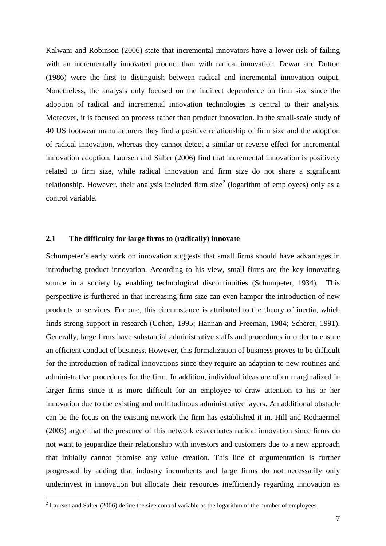Kalwani and Robinson (2006) state that incremental innovators have a lower risk of failing with an incrementally innovated product than with radical innovation. Dewar and Dutton (1986) were the first to distinguish between radical and incremental innovation output. Nonetheless, the analysis only focused on the indirect dependence on firm size since the adoption of radical and incremental innovation technologies is central to their analysis. Moreover, it is focused on process rather than product innovation. In the small-scale study of 40 US footwear manufacturers they find a positive relationship of firm size and the adoption of radical innovation, whereas they cannot detect a similar or reverse effect for incremental innovation adoption. Laursen and Salter (2006) find that incremental innovation is positively related to firm size, while radical innovation and firm size do not share a significant relationship. However, their analysis included firm size<sup>[2](#page-7-0)</sup> (logarithm of employees) only as a control variable.

#### **2.1 The difficulty for large firms to (radically) innovate**

Schumpeter's early work on innovation suggests that small firms should have advantages in introducing product innovation. According to his view, small firms are the key innovating source in a society by enabling technological discontinuities (Schumpeter, 1934). This perspective is furthered in that increasing firm size can even hamper the introduction of new products or services. For one, this circumstance is attributed to the theory of inertia, which finds strong support in research (Cohen, 1995; Hannan and Freeman, 1984; Scherer, 1991). Generally, large firms have substantial administrative staffs and procedures in order to ensure an efficient conduct of business. However, this formalization of business proves to be difficult for the introduction of radical innovations since they require an adaption to new routines and administrative procedures for the firm. In addition, individual ideas are often marginalized in larger firms since it is more difficult for an employee to draw attention to his or her innovation due to the existing and multitudinous administrative layers. An additional obstacle can be the focus on the existing network the firm has established it in. Hill and Rothaermel (2003) argue that the presence of this network exacerbates radical innovation since firms do not want to jeopardize their relationship with investors and customers due to a new approach that initially cannot promise any value creation. This line of argumentation is further progressed by adding that industry incumbents and large firms do not necessarily only underinvest in innovation but allocate their resources inefficiently regarding innovation as

<span id="page-7-0"></span> $2$  Laursen and Salter (2006) define the size control variable as the logarithm of the number of employees.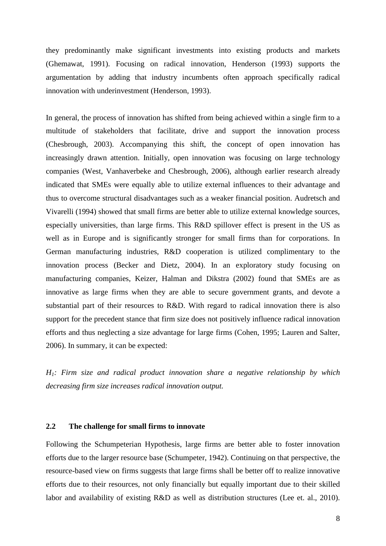they predominantly make significant investments into existing products and markets (Ghemawat, 1991). Focusing on radical innovation, Henderson (1993) supports the argumentation by adding that industry incumbents often approach specifically radical innovation with underinvestment (Henderson, 1993).

In general, the process of innovation has shifted from being achieved within a single firm to a multitude of stakeholders that facilitate, drive and support the innovation process (Chesbrough, 2003). Accompanying this shift, the concept of open innovation has increasingly drawn attention. Initially, open innovation was focusing on large technology companies (West, Vanhaverbeke and Chesbrough, 2006), although earlier research already indicated that SMEs were equally able to utilize external influences to their advantage and thus to overcome structural disadvantages such as a weaker financial position. Audretsch and Vivarelli (1994) showed that small firms are better able to utilize external knowledge sources, especially universities, than large firms. This R&D spillover effect is present in the US as well as in Europe and is significantly stronger for small firms than for corporations. In German manufacturing industries, R&D cooperation is utilized complimentary to the innovation process (Becker and Dietz, 2004). In an exploratory study focusing on manufacturing companies, Keizer, Halman and Dikstra (2002) found that SMEs are as innovative as large firms when they are able to secure government grants, and devote a substantial part of their resources to R&D. With regard to radical innovation there is also support for the precedent stance that firm size does not positively influence radical innovation efforts and thus neglecting a size advantage for large firms (Cohen, 1995; Lauren and Salter, 2006). In summary, it can be expected:

*H1: Firm size and radical product innovation share a negative relationship by which decreasing firm size increases radical innovation output.*

#### **2.2 The challenge for small firms to innovate**

Following the Schumpeterian Hypothesis, large firms are better able to foster innovation efforts due to the larger resource base (Schumpeter, 1942). Continuing on that perspective, the resource-based view on firms suggests that large firms shall be better off to realize innovative efforts due to their resources, not only financially but equally important due to their skilled labor and availability of existing R&D as well as distribution structures (Lee et. al., 2010).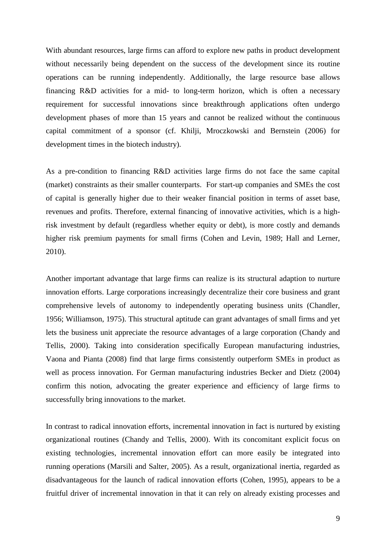With abundant resources, large firms can afford to explore new paths in product development without necessarily being dependent on the success of the development since its routine operations can be running independently. Additionally, the large resource base allows financing R&D activities for a mid- to long-term horizon, which is often a necessary requirement for successful innovations since breakthrough applications often undergo development phases of more than 15 years and cannot be realized without the continuous capital commitment of a sponsor (cf. Khilji, Mroczkowski and Bernstein (2006) for development times in the biotech industry).

As a pre-condition to financing R&D activities large firms do not face the same capital (market) constraints as their smaller counterparts. For start-up companies and SMEs the cost of capital is generally higher due to their weaker financial position in terms of asset base, revenues and profits. Therefore, external financing of innovative activities, which is a highrisk investment by default (regardless whether equity or debt), is more costly and demands higher risk premium payments for small firms (Cohen and Levin, 1989; Hall and Lerner, 2010).

Another important advantage that large firms can realize is its structural adaption to nurture innovation efforts. Large corporations increasingly decentralize their core business and grant comprehensive levels of autonomy to independently operating business units (Chandler, 1956; Williamson, 1975). This structural aptitude can grant advantages of small firms and yet lets the business unit appreciate the resource advantages of a large corporation (Chandy and Tellis, 2000). Taking into consideration specifically European manufacturing industries, Vaona and Pianta (2008) find that large firms consistently outperform SMEs in product as well as process innovation. For German manufacturing industries Becker and Dietz (2004) confirm this notion, advocating the greater experience and efficiency of large firms to successfully bring innovations to the market.

In contrast to radical innovation efforts, incremental innovation in fact is nurtured by existing organizational routines (Chandy and Tellis, 2000). With its concomitant explicit focus on existing technologies, incremental innovation effort can more easily be integrated into running operations (Marsili and Salter, 2005). As a result, organizational inertia, regarded as disadvantageous for the launch of radical innovation efforts (Cohen, 1995), appears to be a fruitful driver of incremental innovation in that it can rely on already existing processes and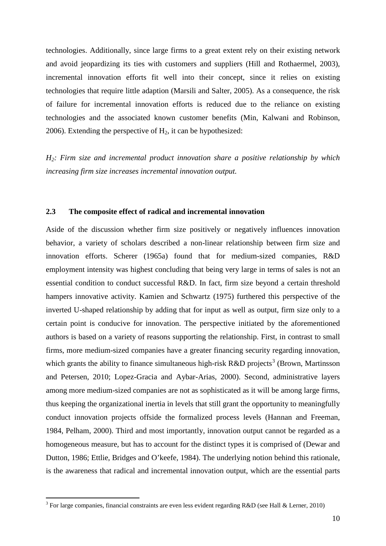technologies. Additionally, since large firms to a great extent rely on their existing network and avoid jeopardizing its ties with customers and suppliers (Hill and Rothaermel, 2003), incremental innovation efforts fit well into their concept, since it relies on existing technologies that require little adaption (Marsili and Salter, 2005). As a consequence, the risk of failure for incremental innovation efforts is reduced due to the reliance on existing technologies and the associated known customer benefits (Min, Kalwani and Robinson, 2006). Extending the perspective of  $H_2$ , it can be hypothesized:

*H2: Firm size and incremental product innovation share a positive relationship by which increasing firm size increases incremental innovation output.*

#### **2.3 The composite effect of radical and incremental innovation**

Aside of the discussion whether firm size positively or negatively influences innovation behavior, a variety of scholars described a non-linear relationship between firm size and innovation efforts. Scherer (1965a) found that for medium-sized companies, R&D employment intensity was highest concluding that being very large in terms of sales is not an essential condition to conduct successful R&D. In fact, firm size beyond a certain threshold hampers innovative activity. Kamien and Schwartz (1975) furthered this perspective of the inverted U-shaped relationship by adding that for input as well as output, firm size only to a certain point is conducive for innovation. The perspective initiated by the aforementioned authors is based on a variety of reasons supporting the relationship. First, in contrast to small firms, more medium-sized companies have a greater financing security regarding innovation, which grants the ability to finance simultaneous high-risk R&D projects<sup>[3](#page-10-0)</sup> (Brown, Martinsson and Petersen, 2010; Lopez-Gracia and Aybar-Arias, 2000). Second, administrative layers among more medium-sized companies are not as sophisticated as it will be among large firms, thus keeping the organizational inertia in levels that still grant the opportunity to meaningfully conduct innovation projects offside the formalized process levels (Hannan and Freeman, 1984, Pelham, 2000). Third and most importantly, innovation output cannot be regarded as a homogeneous measure, but has to account for the distinct types it is comprised of (Dewar and Dutton, 1986; Ettlie, Bridges and O'keefe, 1984). The underlying notion behind this rationale, is the awareness that radical and incremental innovation output, which are the essential parts

<span id="page-10-0"></span><sup>&</sup>lt;sup>3</sup> For large companies, financial constraints are even less evident regarding R&D (see Hall & Lerner, 2010)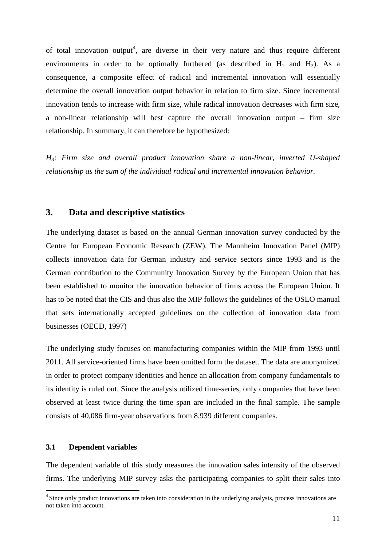of total innovation output<sup>[4](#page-11-0)</sup>, are diverse in their very nature and thus require different environments in order to be optimally furthered (as described in  $H_1$  and  $H_2$ ). As a consequence, a composite effect of radical and incremental innovation will essentially determine the overall innovation output behavior in relation to firm size. Since incremental innovation tends to increase with firm size, while radical innovation decreases with firm size, a non-linear relationship will best capture the overall innovation output – firm size relationship. In summary, it can therefore be hypothesized:

*H3: Firm size and overall product innovation share a non-linear, inverted U-shaped relationship as the sum of the individual radical and incremental innovation behavior.*

# **3. Data and descriptive statistics**

The underlying dataset is based on the annual German innovation survey conducted by the Centre for European Economic Research (ZEW). The Mannheim Innovation Panel (MIP) collects innovation data for German industry and service sectors since 1993 and is the German contribution to the Community Innovation Survey by the European Union that has been established to monitor the innovation behavior of firms across the European Union. It has to be noted that the CIS and thus also the MIP follows the guidelines of the OSLO manual that sets internationally accepted guidelines on the collection of innovation data from businesses (OECD, 1997)

The underlying study focuses on manufacturing companies within the MIP from 1993 until 2011. All service-oriented firms have been omitted form the dataset. The data are anonymized in order to protect company identities and hence an allocation from company fundamentals to its identity is ruled out. Since the analysis utilized time-series, only companies that have been observed at least twice during the time span are included in the final sample. The sample consists of 40,086 firm-year observations from 8,939 different companies.

#### **3.1 Dependent variables**

 $\overline{a}$ 

The dependent variable of this study measures the innovation sales intensity of the observed firms. The underlying MIP survey asks the participating companies to split their sales into

<span id="page-11-0"></span><sup>&</sup>lt;sup>4</sup> Since only product innovations are taken into consideration in the underlying analysis, process innovations are not taken into account.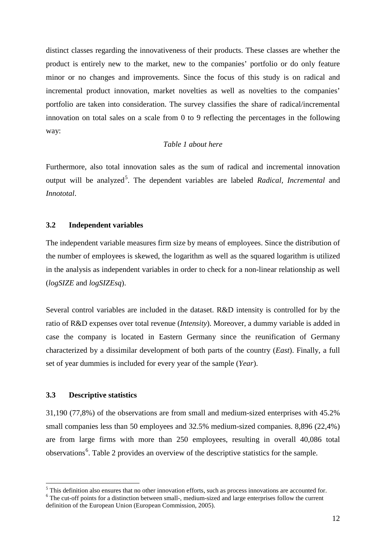distinct classes regarding the innovativeness of their products. These classes are whether the product is entirely new to the market, new to the companies' portfolio or do only feature minor or no changes and improvements. Since the focus of this study is on radical and incremental product innovation, market novelties as well as novelties to the companies' portfolio are taken into consideration. The survey classifies the share of radical/incremental innovation on total sales on a scale from 0 to 9 reflecting the percentages in the following way:

#### *Table 1 about here*

Furthermore, also total innovation sales as the sum of radical and incremental innovation output will be analyzed<sup>[5](#page-12-0)</sup>. The dependent variables are labeled *Radical*, *Incremental* and *Innototal*.

#### **3.2 Independent variables**

The independent variable measures firm size by means of employees. Since the distribution of the number of employees is skewed, the logarithm as well as the squared logarithm is utilized in the analysis as independent variables in order to check for a non-linear relationship as well (*logSIZE* and *logSIZEsq*).

Several control variables are included in the dataset. R&D intensity is controlled for by the ratio of R&D expenses over total revenue (*Intensity*). Moreover, a dummy variable is added in case the company is located in Eastern Germany since the reunification of Germany characterized by a dissimilar development of both parts of the country (*East*). Finally, a full set of year dummies is included for every year of the sample (*Year*).

#### **3.3 Descriptive statistics**

 $\overline{a}$ 

31,190 (77,8%) of the observations are from small and medium-sized enterprises with 45.2% small companies less than 50 employees and 32.5% medium-sized companies. 8,896 (22,4%) are from large firms with more than 250 employees, resulting in overall 40,086 total observations<sup>[6](#page-12-1)</sup>. Table 2 provides an overview of the descriptive statistics for the sample.

<span id="page-12-1"></span><span id="page-12-0"></span> $<sup>5</sup>$  This definition also ensures that no other innovation efforts, such as process innovations are accounted for.</sup> <sup>6</sup> The cut-off points for a distinction between small-, medium-sized and large enterprises follow the current definition of the European Union (European Commission, 2005).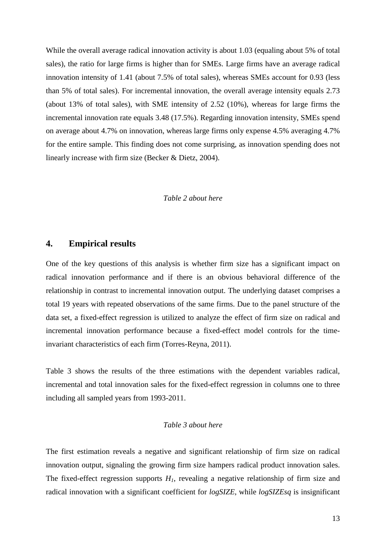While the overall average radical innovation activity is about 1.03 (equaling about 5% of total sales), the ratio for large firms is higher than for SMEs. Large firms have an average radical innovation intensity of 1.41 (about 7.5% of total sales), whereas SMEs account for 0.93 (less than 5% of total sales). For incremental innovation, the overall average intensity equals 2.73 (about 13% of total sales), with SME intensity of 2.52 (10%), whereas for large firms the incremental innovation rate equals 3.48 (17.5%). Regarding innovation intensity, SMEs spend on average about 4.7% on innovation, whereas large firms only expense 4.5% averaging 4.7% for the entire sample. This finding does not come surprising, as innovation spending does not linearly increase with firm size (Becker & Dietz, 2004).

#### *Table 2 about here*

# **4. Empirical results**

One of the key questions of this analysis is whether firm size has a significant impact on radical innovation performance and if there is an obvious behavioral difference of the relationship in contrast to incremental innovation output. The underlying dataset comprises a total 19 years with repeated observations of the same firms. Due to the panel structure of the data set, a fixed-effect regression is utilized to analyze the effect of firm size on radical and incremental innovation performance because a fixed-effect model controls for the timeinvariant characteristics of each firm (Torres-Reyna, 2011).

Table 3 shows the results of the three estimations with the dependent variables radical, incremental and total innovation sales for the fixed-effect regression in columns one to three including all sampled years from 1993-2011.

#### *Table 3 about here*

The first estimation reveals a negative and significant relationship of firm size on radical innovation output, signaling the growing firm size hampers radical product innovation sales. The fixed-effect regression supports  $H<sub>1</sub>$ , revealing a negative relationship of firm size and radical innovation with a significant coefficient for *logSIZE*, while *logSIZEsq* is insignificant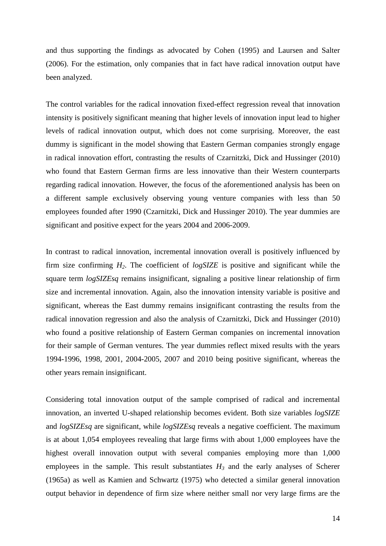and thus supporting the findings as advocated by Cohen (1995) and Laursen and Salter (2006). For the estimation, only companies that in fact have radical innovation output have been analyzed.

The control variables for the radical innovation fixed-effect regression reveal that innovation intensity is positively significant meaning that higher levels of innovation input lead to higher levels of radical innovation output, which does not come surprising. Moreover, the east dummy is significant in the model showing that Eastern German companies strongly engage in radical innovation effort, contrasting the results of Czarnitzki, Dick and Hussinger (2010) who found that Eastern German firms are less innovative than their Western counterparts regarding radical innovation. However, the focus of the aforementioned analysis has been on a different sample exclusively observing young venture companies with less than 50 employees founded after 1990 (Czarnitzki, Dick and Hussinger 2010). The year dummies are significant and positive expect for the years 2004 and 2006-2009.

In contrast to radical innovation, incremental innovation overall is positively influenced by firm size confirming *H2*. The coefficient of *logSIZE* is positive and significant while the square term *logSIZEsq* remains insignificant, signaling a positive linear relationship of firm size and incremental innovation. Again, also the innovation intensity variable is positive and significant, whereas the East dummy remains insignificant contrasting the results from the radical innovation regression and also the analysis of Czarnitzki, Dick and Hussinger (2010) who found a positive relationship of Eastern German companies on incremental innovation for their sample of German ventures. The year dummies reflect mixed results with the years 1994-1996, 1998, 2001, 2004-2005, 2007 and 2010 being positive significant, whereas the other years remain insignificant.

Considering total innovation output of the sample comprised of radical and incremental innovation, an inverted U-shaped relationship becomes evident. Both size variables *logSIZE* and *logSIZEsq* are significant, while *logSIZEsq* reveals a negative coefficient. The maximum is at about 1,054 employees revealing that large firms with about 1,000 employees have the highest overall innovation output with several companies employing more than 1,000 employees in the sample. This result substantiates  $H_3$  and the early analyses of Scherer (1965a) as well as Kamien and Schwartz (1975) who detected a similar general innovation output behavior in dependence of firm size where neither small nor very large firms are the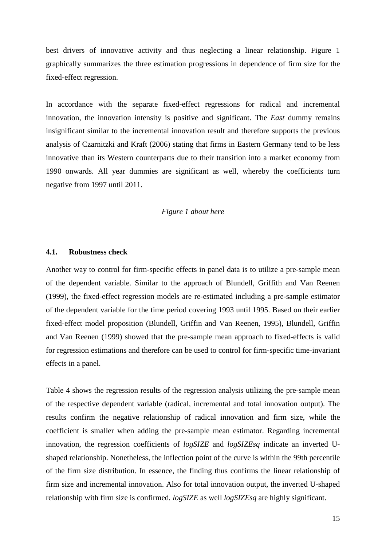best drivers of innovative activity and thus neglecting a linear relationship. Figure 1 graphically summarizes the three estimation progressions in dependence of firm size for the fixed-effect regression.

In accordance with the separate fixed-effect regressions for radical and incremental innovation, the innovation intensity is positive and significant. The *East* dummy remains insignificant similar to the incremental innovation result and therefore supports the previous analysis of Czarnitzki and Kraft (2006) stating that firms in Eastern Germany tend to be less innovative than its Western counterparts due to their transition into a market economy from 1990 onwards. All year dummies are significant as well, whereby the coefficients turn negative from 1997 until 2011.

#### *Figure 1 about here*

#### **4.1. Robustness check**

Another way to control for firm-specific effects in panel data is to utilize a pre-sample mean of the dependent variable. Similar to the approach of Blundell, Griffith and Van Reenen (1999), the fixed-effect regression models are re-estimated including a pre-sample estimator of the dependent variable for the time period covering 1993 until 1995. Based on their earlier fixed-effect model proposition (Blundell, Griffin and Van Reenen, 1995), Blundell, Griffin and Van Reenen (1999) showed that the pre-sample mean approach to fixed-effects is valid for regression estimations and therefore can be used to control for firm-specific time-invariant effects in a panel.

Table 4 shows the regression results of the regression analysis utilizing the pre-sample mean of the respective dependent variable (radical, incremental and total innovation output). The results confirm the negative relationship of radical innovation and firm size, while the coefficient is smaller when adding the pre-sample mean estimator. Regarding incremental innovation, the regression coefficients of *logSIZE* and *logSIZEsq* indicate an inverted Ushaped relationship. Nonetheless, the inflection point of the curve is within the 99th percentile of the firm size distribution. In essence, the finding thus confirms the linear relationship of firm size and incremental innovation. Also for total innovation output, the inverted U-shaped relationship with firm size is confirmed*. logSIZE* as well *logSIZEsq* are highly significant.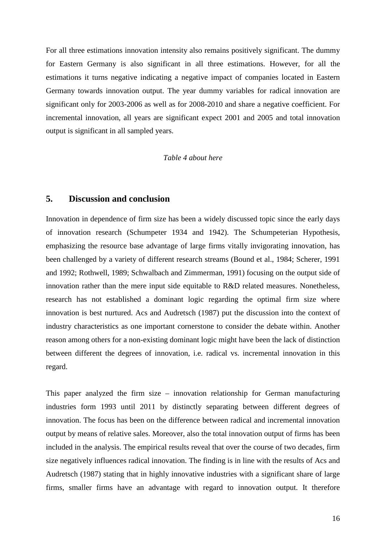For all three estimations innovation intensity also remains positively significant. The dummy for Eastern Germany is also significant in all three estimations. However, for all the estimations it turns negative indicating a negative impact of companies located in Eastern Germany towards innovation output. The year dummy variables for radical innovation are significant only for 2003-2006 as well as for 2008-2010 and share a negative coefficient. For incremental innovation, all years are significant expect 2001 and 2005 and total innovation output is significant in all sampled years.

#### *Table 4 about here*

# **5. Discussion and conclusion**

Innovation in dependence of firm size has been a widely discussed topic since the early days of innovation research (Schumpeter 1934 and 1942). The Schumpeterian Hypothesis, emphasizing the resource base advantage of large firms vitally invigorating innovation, has been challenged by a variety of different research streams (Bound et al., 1984; Scherer, 1991 and 1992; Rothwell, 1989; Schwalbach and Zimmerman, 1991) focusing on the output side of innovation rather than the mere input side equitable to R&D related measures. Nonetheless, research has not established a dominant logic regarding the optimal firm size where innovation is best nurtured. Acs and Audretsch (1987) put the discussion into the context of industry characteristics as one important cornerstone to consider the debate within. Another reason among others for a non-existing dominant logic might have been the lack of distinction between different the degrees of innovation, i.e. radical vs. incremental innovation in this regard.

This paper analyzed the firm size – innovation relationship for German manufacturing industries form 1993 until 2011 by distinctly separating between different degrees of innovation. The focus has been on the difference between radical and incremental innovation output by means of relative sales. Moreover, also the total innovation output of firms has been included in the analysis. The empirical results reveal that over the course of two decades, firm size negatively influences radical innovation. The finding is in line with the results of Acs and Audretsch (1987) stating that in highly innovative industries with a significant share of large firms, smaller firms have an advantage with regard to innovation output. It therefore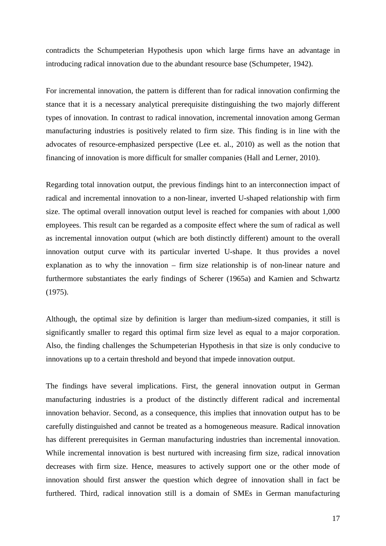contradicts the Schumpeterian Hypothesis upon which large firms have an advantage in introducing radical innovation due to the abundant resource base (Schumpeter, 1942).

For incremental innovation, the pattern is different than for radical innovation confirming the stance that it is a necessary analytical prerequisite distinguishing the two majorly different types of innovation. In contrast to radical innovation, incremental innovation among German manufacturing industries is positively related to firm size. This finding is in line with the advocates of resource-emphasized perspective (Lee et. al., 2010) as well as the notion that financing of innovation is more difficult for smaller companies (Hall and Lerner, 2010).

Regarding total innovation output, the previous findings hint to an interconnection impact of radical and incremental innovation to a non-linear, inverted U-shaped relationship with firm size. The optimal overall innovation output level is reached for companies with about 1,000 employees. This result can be regarded as a composite effect where the sum of radical as well as incremental innovation output (which are both distinctly different) amount to the overall innovation output curve with its particular inverted U-shape. It thus provides a novel explanation as to why the innovation – firm size relationship is of non-linear nature and furthermore substantiates the early findings of Scherer (1965a) and Kamien and Schwartz (1975).

Although, the optimal size by definition is larger than medium-sized companies, it still is significantly smaller to regard this optimal firm size level as equal to a major corporation. Also, the finding challenges the Schumpeterian Hypothesis in that size is only conducive to innovations up to a certain threshold and beyond that impede innovation output.

The findings have several implications. First, the general innovation output in German manufacturing industries is a product of the distinctly different radical and incremental innovation behavior. Second, as a consequence, this implies that innovation output has to be carefully distinguished and cannot be treated as a homogeneous measure. Radical innovation has different prerequisites in German manufacturing industries than incremental innovation. While incremental innovation is best nurtured with increasing firm size, radical innovation decreases with firm size. Hence, measures to actively support one or the other mode of innovation should first answer the question which degree of innovation shall in fact be furthered. Third, radical innovation still is a domain of SMEs in German manufacturing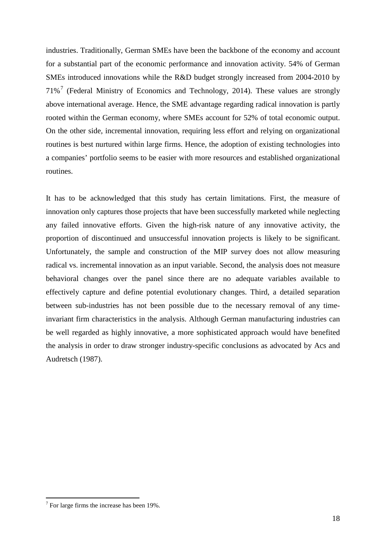industries. Traditionally, German SMEs have been the backbone of the economy and account for a substantial part of the economic performance and innovation activity. 54% of German SMEs introduced innovations while the R&D budget strongly increased from 2004-2010 by  $71\%$  $71\%$ <sup>7</sup> (Federal Ministry of Economics and Technology, 2014). These values are strongly above international average. Hence, the SME advantage regarding radical innovation is partly rooted within the German economy, where SMEs account for 52% of total economic output. On the other side, incremental innovation, requiring less effort and relying on organizational routines is best nurtured within large firms. Hence, the adoption of existing technologies into a companies' portfolio seems to be easier with more resources and established organizational routines.

It has to be acknowledged that this study has certain limitations. First, the measure of innovation only captures those projects that have been successfully marketed while neglecting any failed innovative efforts. Given the high-risk nature of any innovative activity, the proportion of discontinued and unsuccessful innovation projects is likely to be significant. Unfortunately, the sample and construction of the MIP survey does not allow measuring radical vs. incremental innovation as an input variable. Second, the analysis does not measure behavioral changes over the panel since there are no adequate variables available to effectively capture and define potential evolutionary changes. Third, a detailed separation between sub-industries has not been possible due to the necessary removal of any timeinvariant firm characteristics in the analysis. Although German manufacturing industries can be well regarded as highly innovative, a more sophisticated approach would have benefited the analysis in order to draw stronger industry-specific conclusions as advocated by Acs and Audretsch (1987).

<span id="page-18-0"></span> $<sup>7</sup>$  For large firms the increase has been 19%.</sup>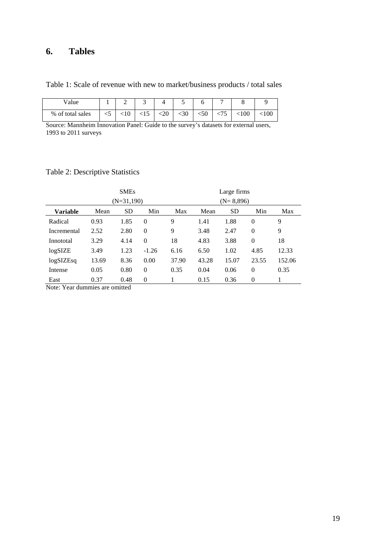# **6. Tables**

Table 1: Scale of revenue with new to market/business products / total sales

| Value            |    | ∸      | ັ         |        |      |        |           |       |
|------------------|----|--------|-----------|--------|------|--------|-----------|-------|
| % of total sales | د> | $<$ 10 | $\leq$ 15 | $<$ 20 | $30$ | $<$ 50 | $<$ $100$ | < 100 |

Source: Mannheim Innovation Panel: Guide to the survey's datasets for external users, 1993 to 2011 surveys

# Table 2: Descriptive Statistics

|                 | <b>SMEs</b>  |           |          | Large firms |             |           |          |        |
|-----------------|--------------|-----------|----------|-------------|-------------|-----------|----------|--------|
|                 | $(N=31,190)$ |           |          |             | $(N=8,896)$ |           |          |        |
| <b>Variable</b> | Mean         | <b>SD</b> | Min      | Max         | Mean        | <b>SD</b> | Min      | Max    |
| Radical         | 0.93         | 1.85      | $\theta$ | 9           | 1.41        | 1.88      | $\theta$ | 9      |
| Incremental     | 2.52         | 2.80      | $\theta$ | 9           | 3.48        | 2.47      | $\theta$ | 9      |
| Innototal       | 3.29         | 4.14      | $\Omega$ | 18          | 4.83        | 3.88      | $\theta$ | 18     |
| logSIZE         | 3.49         | 1.23      | $-1.26$  | 6.16        | 6.50        | 1.02      | 4.85     | 12.33  |
| logSIZEsq       | 13.69        | 8.36      | 0.00     | 37.90       | 43.28       | 15.07     | 23.55    | 152.06 |
| Intense         | 0.05         | 0.80      | $\theta$ | 0.35        | 0.04        | 0.06      | $\theta$ | 0.35   |
| East            | 0.37         | 0.48      | $\theta$ |             | 0.15        | 0.36      | $\theta$ |        |

Note: Year dummies are omitted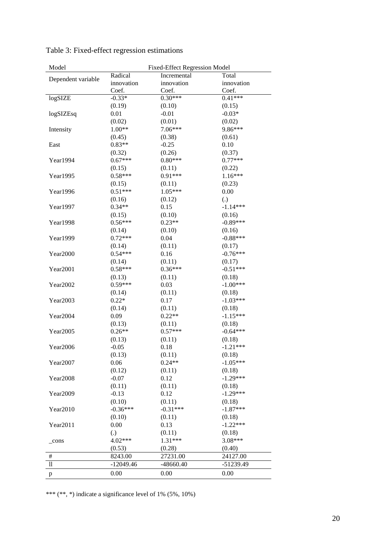| Model              | <b>Fixed-Effect Regression Model</b> |             |                      |  |  |  |
|--------------------|--------------------------------------|-------------|----------------------|--|--|--|
| Dependent variable | Radical                              | Incremental | Total                |  |  |  |
|                    | innovation                           | innovation  | innovation           |  |  |  |
|                    | Coef.                                | Coef.       | Coef.                |  |  |  |
| logSIZE            | $-0.33*$                             | $0.30***$   | $0.41***$            |  |  |  |
|                    | (0.19)                               | (0.10)      | (0.15)               |  |  |  |
| logSIZEsq          | 0.01                                 | $-0.01$     | $-0.03*$             |  |  |  |
|                    | (0.02)                               | (0.01)      | (0.02)               |  |  |  |
| Intensity          | $1.00**$                             | 7.06***     | 9.86***              |  |  |  |
|                    | (0.45)                               | (0.38)      | (0.61)               |  |  |  |
| East               | $0.83**$                             | $-0.25$     | 0.10                 |  |  |  |
|                    | (0.32)                               | (0.26)      | (0.37)               |  |  |  |
| Year1994           | $0.67***$                            | $0.80***$   | $0.77***$            |  |  |  |
|                    | (0.15)                               | (0.11)      | (0.22)               |  |  |  |
| Year1995           | $0.58***$                            | $0.91***$   | $1.16***$            |  |  |  |
|                    | (0.15)                               | (0.11)      | (0.23)               |  |  |  |
| Year1996           | $0.51***$                            | $1.05***$   | 0.00                 |  |  |  |
|                    | (0.16)                               | (0.12)      | (.)                  |  |  |  |
| Year1997           | $0.34**$                             | 0.15        | $-1.14***$           |  |  |  |
|                    | (0.15)                               | (0.10)      | (0.16)               |  |  |  |
| Year1998           | $0.56***$                            | $0.23**$    | $-0.89***$           |  |  |  |
|                    | (0.14)                               | (0.10)      | (0.16)               |  |  |  |
| Year1999           | $0.72***$                            | 0.04        | $-0.88***$           |  |  |  |
|                    | (0.14)                               | (0.11)      | (0.17)               |  |  |  |
| Year2000           | $0.54***$                            | 0.16        | $-0.76***$           |  |  |  |
|                    | (0.14)                               | (0.11)      | (0.17)               |  |  |  |
| Year2001           | $0.58***$                            | $0.36***$   | $-0.51***$           |  |  |  |
|                    | (0.13)                               | (0.11)      | (0.18)               |  |  |  |
| Year2002           | $0.59***$                            | 0.03        | $-1.00***$           |  |  |  |
|                    | (0.14)                               | (0.11)      | (0.18)               |  |  |  |
| Year2003           | $0.22*$                              | 0.17        | $-1.03***$           |  |  |  |
|                    | (0.14)                               | (0.11)      | (0.18)               |  |  |  |
| Year2004           | 0.09                                 | $0.22**$    | $-1.15***$           |  |  |  |
|                    | (0.13)                               | (0.11)      | (0.18)               |  |  |  |
| Year2005           | $0.26**$                             | $0.57***$   | $-0.64***$           |  |  |  |
|                    | (0.13)                               | (0.11)      | (0.18)               |  |  |  |
| Year2006           | $-0.05$                              | 0.18        | $-1.21***$           |  |  |  |
|                    | (0.13)                               | (0.11)      | (0.18)               |  |  |  |
| Year2007           | 0.06                                 | $0.24**$    | $-1.05***$           |  |  |  |
|                    | (0.12)                               | (0.11)      | (0.18)               |  |  |  |
| Year2008           | $-0.07$                              | 0.12        | $-1.29***$           |  |  |  |
|                    | (0.11)                               | (0.11)      | (0.18)               |  |  |  |
| Year2009           | $-0.13$                              | 0.12        | $-1.29***$           |  |  |  |
|                    | (0.10)                               | (0.11)      | (0.18)               |  |  |  |
| Year2010           | $-0.36***$                           | $-0.31***$  | $-1.87***$           |  |  |  |
|                    | (0.10)                               | (0.11)      | (0.18)<br>$-1.22***$ |  |  |  |
| Year2011           | 0.00                                 | 0.13        |                      |  |  |  |
|                    | (.)                                  | (0.11)      | (0.18)               |  |  |  |
| cons               | 4.02***                              | 1.31***     | 3.08***              |  |  |  |
|                    | (0.53)                               | (0.28)      | (0.40)               |  |  |  |
| $\#$               | 8243.00                              | 27231.00    | 24127.00             |  |  |  |
| 11                 | $-12049.46$                          | $-48660.40$ | -51239.49            |  |  |  |
| p                  | 0.00                                 | 0.00        | 0.00                 |  |  |  |

Table 3: Fixed-effect regression estimations

\*\*\* (\*\*, \*) indicate a significance level of 1% (5%, 10%)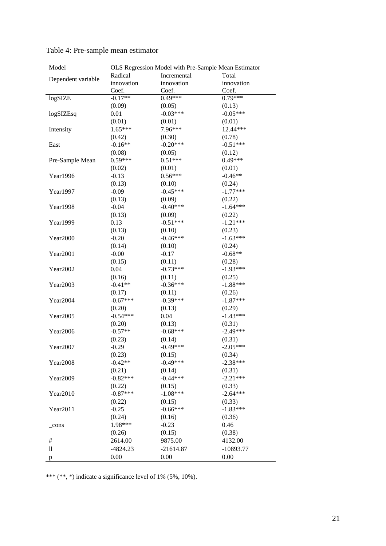| Model                            | OLS Regression Model with Pre-Sample Mean Estimator |                      |                      |  |  |  |
|----------------------------------|-----------------------------------------------------|----------------------|----------------------|--|--|--|
|                                  | Radical                                             | Incremental          | Total                |  |  |  |
| Dependent variable               | innovation                                          | innovation           | innovation           |  |  |  |
|                                  | Coef.                                               | Coef.                | Coef.                |  |  |  |
| logSIZE                          | $-0.17**$                                           | $0.49***$            | $0.79***$            |  |  |  |
|                                  | (0.09)                                              | (0.05)               | (0.13)               |  |  |  |
| $log$ SIZEsq                     | 0.01                                                | $-0.03***$           | $-0.05***$           |  |  |  |
|                                  | (0.01)                                              | (0.01)               | (0.01)               |  |  |  |
| Intensity                        | $1.65***$                                           | 7.96***              | 12.44***             |  |  |  |
|                                  | (0.42)                                              | (0.30)               | (0.78)               |  |  |  |
| East                             | $-0.16**$                                           | $-0.20***$           | $-0.51***$           |  |  |  |
|                                  | (0.08)                                              | (0.05)               | (0.12)               |  |  |  |
| Pre-Sample Mean                  | $0.59***$                                           | $0.51***$            | $0.49***$            |  |  |  |
|                                  | (0.02)                                              | (0.01)               | (0.01)               |  |  |  |
| Year1996                         | $-0.13$                                             | $0.56***$            | $-0.46**$            |  |  |  |
|                                  | (0.13)                                              | (0.10)               | (0.24)               |  |  |  |
| Year1997                         | $-0.09$                                             | $-0.45***$           | $-1.77***$           |  |  |  |
|                                  | (0.13)                                              | (0.09)               | (0.22)               |  |  |  |
| Year1998                         | $-0.04$                                             | $-0.40***$           | $-1.64***$           |  |  |  |
|                                  | (0.13)                                              | (0.09)               | (0.22)               |  |  |  |
| Year1999                         | 0.13                                                | $-0.51***$           | $-1.21***$           |  |  |  |
|                                  | (0.13)                                              | (0.10)               | (0.23)               |  |  |  |
| Year2000                         | $-0.20$                                             | $-0.46***$           | $-1.63***$           |  |  |  |
|                                  | (0.14)                                              | (0.10)               | (0.24)               |  |  |  |
| Year2001                         | $-0.00$                                             | $-0.17$              | $-0.68**$            |  |  |  |
|                                  | (0.15)                                              | (0.11)               | (0.28)               |  |  |  |
| Year2002                         | 0.04                                                | $-0.73***$           | $-1.93***$           |  |  |  |
|                                  | (0.16)                                              | (0.11)               | (0.25)               |  |  |  |
| Year2003                         | $-0.41**$                                           | $-0.36***$           | $-1.88***$           |  |  |  |
|                                  | (0.17)                                              | (0.11)               | (0.26)               |  |  |  |
| Year2004                         | $-0.67***$                                          | $-0.39***$           | $-1.87***$           |  |  |  |
|                                  | (0.20)                                              |                      |                      |  |  |  |
|                                  | $-0.54***$                                          | (0.13)<br>0.04       | (0.29)<br>$-1.43***$ |  |  |  |
| Year2005                         |                                                     |                      |                      |  |  |  |
|                                  | (0.20)<br>$-0.57**$                                 | (0.13)<br>$-0.68***$ | (0.31)<br>$-2.49***$ |  |  |  |
| Year2006                         |                                                     |                      |                      |  |  |  |
|                                  | (0.23)                                              | (0.14)               | (0.31)               |  |  |  |
| Year2007                         | $-0.29$                                             | $-0.49***$           | $-2.05***$           |  |  |  |
|                                  | (0.23)                                              | (0.15)               | (0.34)               |  |  |  |
| Year2008                         | $-0.42**$                                           | $-0.49***$           | $-2.38***$           |  |  |  |
|                                  | (0.21)                                              | (0.14)               | (0.31)               |  |  |  |
| Year2009                         | $-0.82***$                                          | $-0.44***$           | $-2.21***$           |  |  |  |
|                                  | (0.22)                                              | (0.15)               | (0.33)               |  |  |  |
| Year2010                         | $-0.87***$                                          | $-1.08***$           | $-2.64***$           |  |  |  |
|                                  | (0.22)                                              | (0.15)               | (0.33)               |  |  |  |
| Year2011                         | $-0.25$                                             | $-0.66***$           | $-1.83***$           |  |  |  |
|                                  | (0.24)                                              | (0.16)               | (0.36)               |  |  |  |
| _cons                            | 1.98***                                             | $-0.23$              | 0.46                 |  |  |  |
|                                  | (0.26)                                              | (0.15)               | (0.38)               |  |  |  |
| $\#$                             | 2614.00                                             | 9875.00              | 4132.00              |  |  |  |
| $\mathop{1\hskip-2.5pt {\rm l}}$ | $-4824.23$                                          | $-21614.87$          | $-10893.77$          |  |  |  |
| p                                | 0.00                                                | 0.00                 | 0.00                 |  |  |  |

| Table 4: Pre-sample mean estimator |  |  |
|------------------------------------|--|--|
|------------------------------------|--|--|

\*\*\* (\*\*, \*) indicate a significance level of 1% (5%, 10%).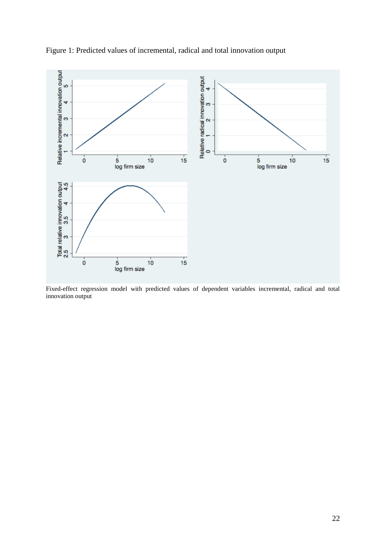

Figure 1: Predicted values of incremental, radical and total innovation output

Fixed-effect regression model with predicted values of dependent variables incremental, radical and total innovation output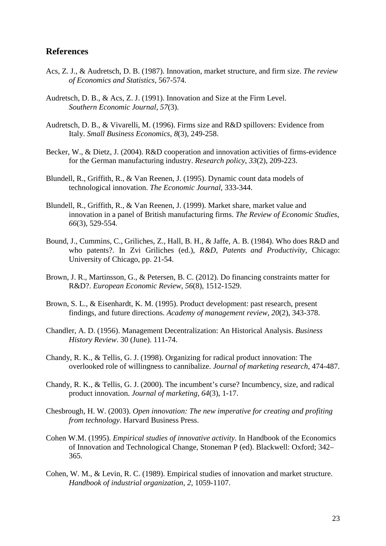## **References**

- Acs, Z. J., & Audretsch, D. B. (1987). Innovation, market structure, and firm size. *The review of Economics and Statistics*, 567-574.
- Audretsch, D. B., & Acs, Z. J. (1991). Innovation and Size at the Firm Level. *Southern Economic Journal, 57*(3).
- Audretsch, D. B., & Vivarelli, M. (1996). Firms size and R&D spillovers: Evidence from Italy. *Small Business Economics*, *8*(3), 249-258.
- Becker, W., & Dietz, J. (2004). R&D cooperation and innovation activities of firms-evidence for the German manufacturing industry. *Research policy*, *33*(2), 209-223.
- Blundell, R., Griffith, R., & Van Reenen, J. (1995). Dynamic count data models of technological innovation. *The Economic Journal*, 333-344.
- Blundell, R., Griffith, R., & Van Reenen, J. (1999). Market share, market value and innovation in a panel of British manufacturing firms. *The Review of Economic Studies*, *66*(3), 529-554.
- Bound, J., Cummins, C., Griliches, Z., Hall, B. H., & Jaffe, A. B. (1984). Who does R&D and who patents?. In Zvi Griliches (ed.), *R&D, Patents and Productivity,* Chicago: University of Chicago, pp. 21-54.
- Brown, J. R., Martinsson, G., & Petersen, B. C. (2012). Do financing constraints matter for R&D?. *European Economic Review*, *56*(8), 1512-1529.
- Brown, S. L., & Eisenhardt, K. M. (1995). Product development: past research, present findings, and future directions. *Academy of management review*, *20*(2), 343-378.
- Chandler, A. D. (1956). Management Decentralization: An Historical Analysis. *Business History Review*. 30 (June). 111-74.
- Chandy, R. K., & Tellis, G. J. (1998). Organizing for radical product innovation: The overlooked role of willingness to cannibalize. *Journal of marketing research*, 474-487.
- Chandy, R. K., & Tellis, G. J. (2000). The incumbent's curse? Incumbency, size, and radical product innovation. *Journal of marketing*, *64*(3), 1-17.
- Chesbrough, H. W. (2003). *Open innovation: The new imperative for creating and profiting from technology*. Harvard Business Press.
- Cohen W.M. (1995). *Empirical studies of innovative activity*. In Handbook of the Economics of Innovation and Technological Change, Stoneman P (ed). Blackwell: Oxford; 342– 365.
- Cohen, W. M., & Levin, R. C. (1989). Empirical studies of innovation and market structure. *Handbook of industrial organization*, *2*, 1059-1107.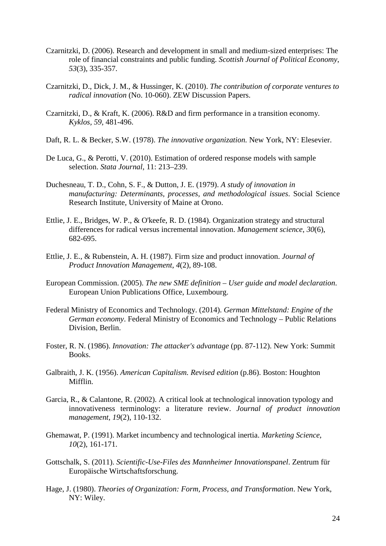- Czarnitzki, D. (2006). Research and development in small and medium‐sized enterprises: The role of financial constraints and public funding. *Scottish Journal of Political Economy*, *53*(3), 335-357.
- Czarnitzki, D., Dick, J. M., & Hussinger, K. (2010). *The contribution of corporate ventures to radical innovation* (No. 10-060). ZEW Discussion Papers.
- Czarnitzki, D., & Kraft, K. (2006). R&D and firm performance in a transition economy*. Kyklos, 59,* 481-496.
- Daft, R. L. & Becker, S.W. (1978). *The innovative organization.* New York, NY: Elesevier.
- De Luca, G., & Perotti, V. (2010). Estimation of ordered response models with sample selection. *Stata Journal*, 11: 213–239.
- Duchesneau, T. D., Cohn, S. F., & Dutton, J. E. (1979). *A study of innovation in manufacturing: Determinants, processes, and methodological issues*. Social Science Research Institute, University of Maine at Orono.
- Ettlie, J. E., Bridges, W. P., & O'keefe, R. D. (1984). Organization strategy and structural differences for radical versus incremental innovation. *Management science*, *30*(6), 682-695.
- Ettlie, J. E., & Rubenstein, A. H. (1987). Firm size and product innovation. *Journal of Product Innovation Management*, *4*(2), 89-108.
- European Commission. (2005). *The new SME definition – User guide and model declaration*. European Union Publications Office, Luxembourg.
- Federal Ministry of Economics and Technology. (2014). *German Mittelstand: Engine of the German economy*. Federal Ministry of Economics and Technology – Public Relations Division, Berlin.
- Foster, R. N. (1986). *Innovation: The attacker's advantage* (pp. 87-112). New York: Summit Books.
- Galbraith, J. K. (1956). *American Capitalism. Revised edition* (p.86). Boston: Houghton Mifflin.
- Garcia, R., & Calantone, R. (2002). A critical look at technological innovation typology and innovativeness terminology: a literature review. *Journal of product innovation management, 19*(2), 110-132.
- Ghemawat, P. (1991). Market incumbency and technological inertia. *Marketing Science*, *10*(2), 161-171.
- Gottschalk, S. (2011). *Scientific-Use-Files des Mannheimer Innovationspanel*. Zentrum für Europäische Wirtschaftsforschung.
- Hage, J. (1980). *Theories of Organization: Form, Process, and Transformation*. New York, NY: Wiley.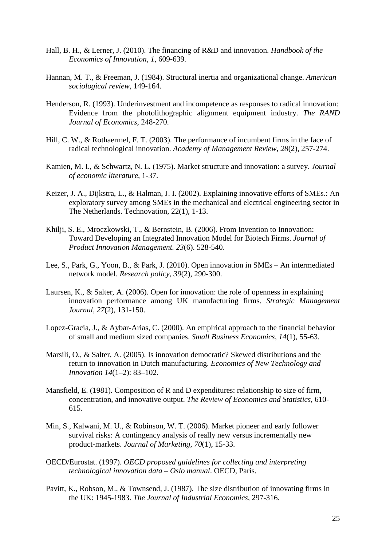- Hall, B. H., & Lerner, J. (2010). The financing of R&D and innovation. *Handbook of the Economics of Innovation*, *1*, 609-639.
- Hannan, M. T., & Freeman, J. (1984). Structural inertia and organizational change. *American sociological review*, 149-164.
- Henderson, R. (1993). Underinvestment and incompetence as responses to radical innovation: Evidence from the photolithographic alignment equipment industry. *The RAND Journal of Economics*, 248-270.
- Hill, C. W., & Rothaermel, F. T. (2003). The performance of incumbent firms in the face of radical technological innovation. *Academy of Management Review*, *28*(2), 257-274.
- Kamien, M. I., & Schwartz, N. L. (1975). Market structure and innovation: a survey. *Journal of economic literature*, 1-37.
- Keizer, J. A., Dijkstra, L., & Halman, J. I. (2002). Explaining innovative efforts of SMEs.: An exploratory survey among SMEs in the mechanical and electrical engineering sector in The Netherlands. Technovation, 22(1), 1-13.
- Khilji, S. E., Mroczkowski, T., & Bernstein, B. (2006). From Invention to Innovation: Toward Developing an Integrated Innovation Model for Biotech Firms. *Journal of Product Innovation Management. 23*(6). 528-540.
- Lee, S., Park, G., Yoon, B., & Park, J. (2010). Open innovation in SMEs An intermediated network model. *Research policy, 39*(2), 290-300.
- Laursen, K., & Salter, A. (2006). Open for innovation: the role of openness in explaining innovation performance among UK manufacturing firms. *Strategic Management Journal, 27*(2), 131-150.
- Lopez-Gracia, J., & Aybar-Arias, C. (2000). An empirical approach to the financial behavior of small and medium sized companies. *Small Business Economics*, *14*(1), 55-63.
- Marsili, O., & Salter, A. (2005). Is innovation democratic? Skewed distributions and the return to innovation in Dutch manufacturing. *Economics of New Technology and Innovation 14*(1–2): 83–102.
- Mansfield, E. (1981). Composition of R and D expenditures: relationship to size of firm, concentration, and innovative output. *The Review of Economics and Statistics*, 610- 615.
- Min, S., Kalwani, M. U., & Robinson, W. T. (2006). Market pioneer and early follower survival risks: A contingency analysis of really new versus incrementally new product-markets. *Journal of Marketing*, *70*(1), 15-33.
- OECD/Eurostat. (1997). *OECD proposed guidelines for collecting and interpreting technological innovation data – Oslo manual*. OECD, Paris.
- Pavitt, K., Robson, M., & Townsend, J. (1987). The size distribution of innovating firms in the UK: 1945-1983. *The Journal of Industrial Economics*, 297-316.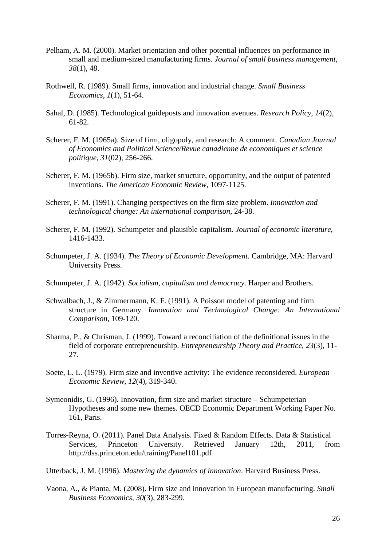- Pelham, A. M. (2000). Market orientation and other potential influences on performance in small and medium-sized manufacturing firms. *Journal of small business management*, *38*(1), 48.
- Rothwell, R. (1989). Small firms, innovation and industrial change. *Small Business Economics*, *1*(1), 51-64.
- Sahal, D. (1985). Technological guideposts and innovation avenues. *Research Policy*, *14*(2), 61-82.
- Scherer, F. M. (1965a). Size of firm, oligopoly, and research: A comment. *Canadian Journal of Economics and Political Science/Revue canadienne de economiques et science politique*, *31*(02), 256-266.
- Scherer, F. M. (1965b). Firm size, market structure, opportunity, and the output of patented inventions. *The American Economic Review*, 1097-1125.
- Scherer, F. M. (1991). Changing perspectives on the firm size problem. *Innovation and technological change: An international comparison*, 24-38.
- Scherer, F. M. (1992). Schumpeter and plausible capitalism. *Journal of economic literature*, 1416-1433.
- Schumpeter, J. A. (1934). *The Theory of Economic Development.* Cambridge, MA: Harvard University Press.
- Schumpeter, J. A. (1942). *Socialism, capitalism and democracy*. Harper and Brothers.
- Schwalbach, J., & Zimmermann, K. F. (1991). A Poisson model of patenting and firm structure in Germany. *Innovation and Technological Change: An International Comparison*, 109-120.
- Sharma, P., & Chrisman, J. (1999). Toward a reconciliation of the definitional issues in the field of corporate entrepreneurship. *Entrepreneurship Theory and Practice, 23*(3), 11- 27.
- Soete, L. L. (1979). Firm size and inventive activity: The evidence reconsidered. *European Economic Review*, *12*(4), 319-340.
- Symeonidis, G. (1996). Innovation, firm size and market structure Schumpeterian Hypotheses and some new themes. OECD Economic Department Working Paper No. 161, Paris.
- Torres-Reyna, O. (2011). Panel Data Analysis. Fixed & Random Effects. Data & Statistical Services, Princeton University. Retrieved January 12th, 2011, from http://dss.princeton.edu/training/Panel101.pdf

Utterback, J. M. (1996). *Mastering the dynamics of innovation*. Harvard Business Press.

Vaona, A., & Pianta, M. (2008). Firm size and innovation in European manufacturing. *Small Business Economics*, *30*(3), 283-299.